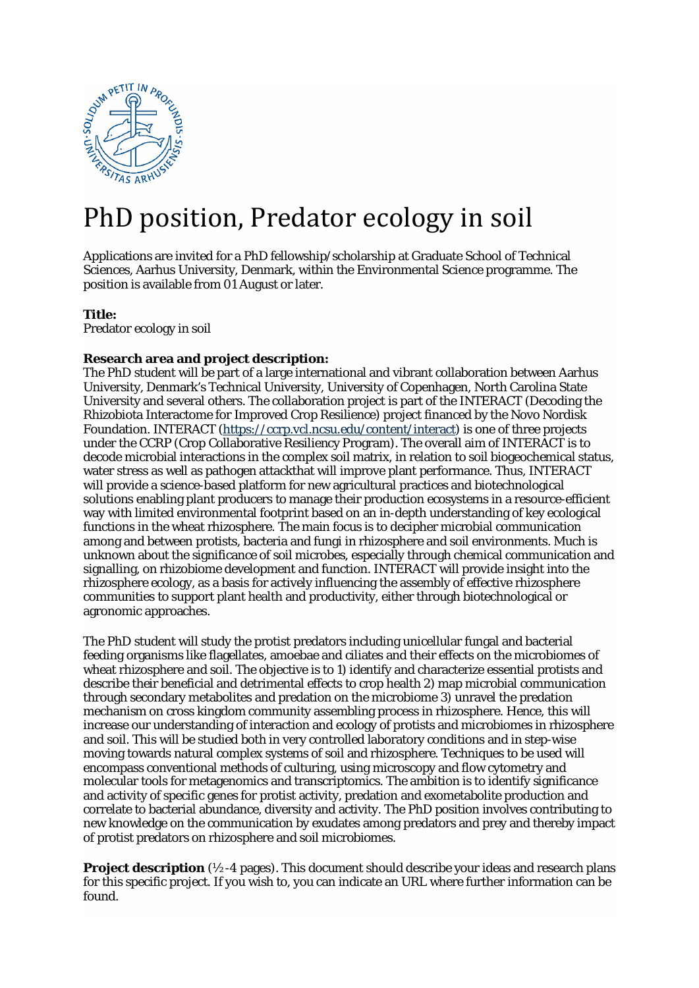

# PhD position, Predator ecology in soil

Applications are invited for a PhD fellowship/scholarship at Graduate School of Technical Sciences, Aarhus University, Denmark, within the Environmental Science programme. The position is available from 01 August or later.

### **Title:**

Predator ecology in soil

## **Research area and project description:**

The PhD student will be part of a large international and vibrant collaboration between Aarhus University, Denmark's Technical University, University of Copenhagen, North Carolina State University and several others. The collaboration project is part of the INTERACT (Decoding the Rhizobiota Interactome for Improved Crop Resilience) project financed by the Novo Nordisk Foundation. INTERACT [\(https://ccrp.vcl.ncsu.edu/content/interact\)](https://ccrp.vcl.ncsu.edu/content/interact) is one of three projects under the CCRP (Crop Collaborative Resiliency Program). The overall aim of INTERACT is to decode microbial interactions in the complex soil matrix, in relation to soil biogeochemical status, water stress as well as pathogen attackthat will improve plant performance. Thus, INTERACT will provide a science-based platform for new agricultural practices and biotechnological solutions enabling plant producers to manage their production ecosystems in a resource-efficient way with limited environmental footprint based on an in-depth understanding of key ecological functions in the wheat rhizosphere. The main focus is to decipher microbial communication among and between protists, bacteria and fungi in rhizosphere and soil environments. Much is unknown about the significance of soil microbes, especially through chemical communication and signalling, on rhizobiome development and function. INTERACT will provide insight into the rhizosphere ecology, as a basis for actively influencing the assembly of effective rhizosphere communities to support plant health and productivity, either through biotechnological or agronomic approaches.

The PhD student will study the protist predators including unicellular fungal and bacterial feeding organisms like flagellates, amoebae and ciliates and their effects on the microbiomes of wheat rhizosphere and soil. The objective is to 1) identify and characterize essential protists and describe their beneficial and detrimental effects to crop health 2) map microbial communication through secondary metabolites and predation on the microbiome 3) unravel the predation mechanism on cross kingdom community assembling process in rhizosphere. Hence, this will increase our understanding of interaction and ecology of protists and microbiomes in rhizosphere and soil. This will be studied both in very controlled laboratory conditions and in step-wise moving towards natural complex systems of soil and rhizosphere. Techniques to be used will encompass conventional methods of culturing, using microscopy and flow cytometry and molecular tools for metagenomics and transcriptomics. The ambition is to identify significance and activity of specific genes for protist activity, predation and exometabolite production and correlate to bacterial abundance, diversity and activity. The PhD position involves contributing to new knowledge on the communication by exudates among predators and prey and thereby impact of protist predators on rhizosphere and soil microbiomes.

**Project description** ( $\frac{1}{2}$ -4 pages). This document should describe your ideas and research plans for this specific project. If you wish to, you can indicate an URL where further information can be found.